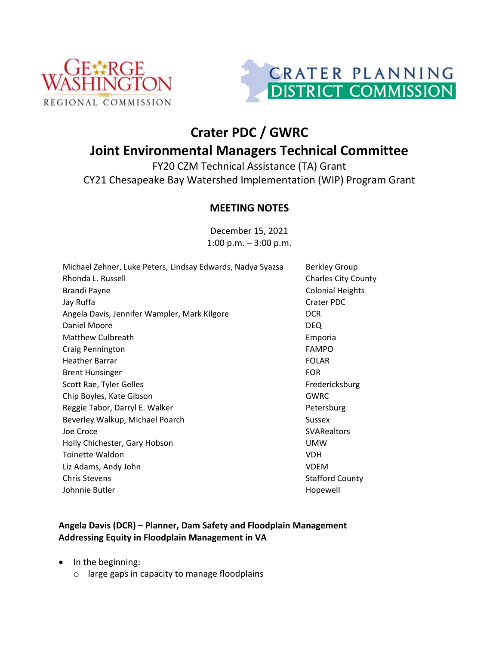



## **Crater PDC / GWRC Joint Environmental Managers Technical Committee**

FY20 CZM Technical Assistance (TA) Grant CY21 Chesapeake Bay Watershed Implementation (WIP) Program Grant

## **MEETING NOTES**

December 15, 2021 1:00 p.m. – 3:00 p.m.

| Michael Zehner, Luke Peters, Lindsay Edwards, Nadya Syazsa | <b>Berkley Group</b>       |
|------------------------------------------------------------|----------------------------|
| Rhonda L. Russell                                          | <b>Charles City County</b> |
| <b>Brandi Payne</b>                                        | <b>Colonial Heights</b>    |
| Jay Ruffa                                                  | Crater PDC                 |
| Angela Davis, Jennifer Wampler, Mark Kilgore               | <b>DCR</b>                 |
| Daniel Moore                                               | <b>DEQ</b>                 |
| Matthew Culbreath                                          | Emporia                    |
| Craig Pennington                                           | <b>FAMPO</b>               |
| <b>Heather Barrar</b>                                      | <b>FOLAR</b>               |
| <b>Brent Hunsinger</b>                                     | <b>FOR</b>                 |
| Scott Rae, Tyler Gelles                                    | Fredericksburg             |
| Chip Boyles, Kate Gibson                                   | GWRC                       |
| Reggie Tabor, Darryl E. Walker                             | Petersburg                 |
| Beverley Walkup, Michael Poarch                            | <b>Sussex</b>              |
| Joe Croce                                                  | <b>SVARealtors</b>         |
| Holly Chichester, Gary Hobson                              | <b>UMW</b>                 |
| <b>Toinette Waldon</b>                                     | VDH.                       |
| Liz Adams, Andy John                                       | <b>VDEM</b>                |
| <b>Chris Stevens</b>                                       | <b>Stafford County</b>     |
| Johnnie Butler                                             | Hopewell                   |
|                                                            |                            |

## **Angela Davis (DCR) – Planner, Dam Safety and Floodplain Management Addressing Equity in Floodplain Management in VA**

- In the beginning:
	- o large gaps in capacity to manage floodplains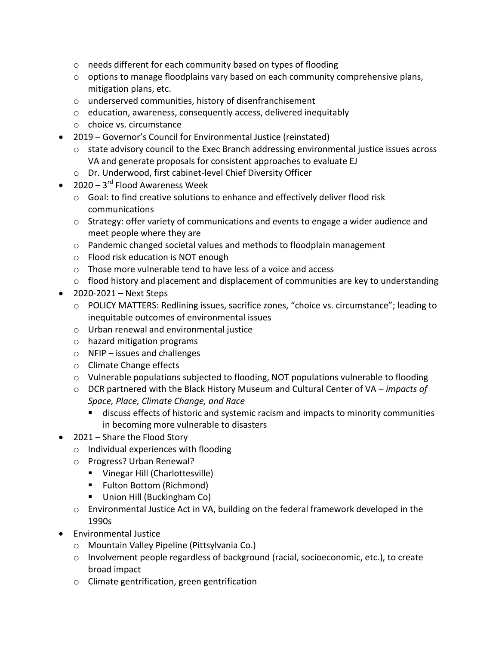- o needs different for each community based on types of flooding
- $\circ$  options to manage floodplains vary based on each community comprehensive plans, mitigation plans, etc.
- o underserved communities, history of disenfranchisement
- o education, awareness, consequently access, delivered inequitably
- o choice vs. circumstance
- 2019 Governor's Council for Environmental Justice (reinstated)
	- $\circ$  state advisory council to the Exec Branch addressing environmental justice issues across VA and generate proposals for consistent approaches to evaluate EJ
	- o Dr. Underwood, first cabinet-level Chief Diversity Officer
- $2020 3^{rd}$  Flood Awareness Week
	- o Goal: to find creative solutions to enhance and effectively deliver flood risk communications
	- $\circ$  Strategy: offer variety of communications and events to engage a wider audience and meet people where they are
	- $\circ$  Pandemic changed societal values and methods to floodplain management
	- o Flood risk education is NOT enough
	- o Those more vulnerable tend to have less of a voice and access
	- o flood history and placement and displacement of communities are key to understanding
- $\bullet$  2020-2021 Next Steps
	- o POLICY MATTERS: Redlining issues, sacrifice zones, "choice vs. circumstance"; leading to inequitable outcomes of environmental issues
	- o Urban renewal and environmental justice
	- o hazard mitigation programs
	- o NFIP issues and challenges
	- o Climate Change effects
	- $\circ$  Vulnerable populations subjected to flooding, NOT populations vulnerable to flooding
	- o DCR partnered with the Black History Museum and Cultural Center of VA *impacts of Space, Place, Climate Change, and Race*
		- discuss effects of historic and systemic racism and impacts to minority communities in becoming more vulnerable to disasters
- 2021 Share the Flood Story
	- o Individual experiences with flooding
	- o Progress? Urban Renewal?
		- **Vinegar Hill (Charlottesville)**
		- Fulton Bottom (Richmond)
		- Union Hill (Buckingham Co)
	- o Environmental Justice Act in VA, building on the federal framework developed in the 1990s
- Environmental Justice
	- o Mountain Valley Pipeline (Pittsylvania Co.)
	- $\circ$  Involvement people regardless of background (racial, socioeconomic, etc.), to create broad impact
	- o Climate gentrification, green gentrification